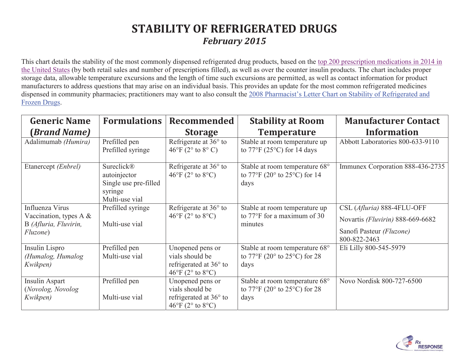## **STABILITY OF REFRIGERATED DRUGS**  *February 2015*

This chart details the stability of the most commonly dispensed refrigerated drug products, based on the top 200 prescription medications in 2014 in the United States (by both retail sales and number of prescriptions filled), as well as over the counter insulin products. The chart includes proper storage data, allowable temperature excursions and the length of time such excursions are permitted, as well as contact information for product manufacturers to address questions that may arise on an individual basis. This provides an update for the most common refrigerated medicines dispensed in community pharmacies; practitioners may want to also consult the 2008 Pharmacist's Letter Chart on Stability of Refrigerated and Frozen Drugs.

| <b>Generic Name</b>                                                                       | <b>Formulations</b>                                                              | Recommended                                                                                                              | <b>Stability at Room</b>                                                                              | <b>Manufacturer Contact</b>                                                                                |
|-------------------------------------------------------------------------------------------|----------------------------------------------------------------------------------|--------------------------------------------------------------------------------------------------------------------------|-------------------------------------------------------------------------------------------------------|------------------------------------------------------------------------------------------------------------|
| (Brand Name)                                                                              |                                                                                  | <b>Storage</b>                                                                                                           | <b>Temperature</b>                                                                                    | <b>Information</b>                                                                                         |
| Adalimumab (Humira)                                                                       | Prefilled pen<br>Prefilled syringe                                               | Refrigerate at 36° to<br>$46^{\circ}$ F (2 $^{\circ}$ to $8^{\circ}$ C)                                                  | Stable at room temperature up<br>to $77^{\circ}$ F (25 $^{\circ}$ C) for 14 days                      | Abbott Laboratories 800-633-9110                                                                           |
| Etanercept (Enbrel)                                                                       | Sureclick®<br>autoinjector<br>Single use pre-filled<br>syringe<br>Multi-use vial | Refrigerate at $36^{\circ}$ to<br>$46^{\circ}$ F (2 $^{\circ}$ to 8 $^{\circ}$ C)                                        | Stable at room temperature 68°<br>to $77^{\circ}$ F (20° to 25°C) for 14<br>days                      | Immunex Corporation 888-436-2735                                                                           |
| Influenza Virus<br>Vaccination, types A $\&$<br>B (Afluria, Fluvirin,<br><i>Fluzone</i> ) | Prefilled syringe<br>Multi-use vial                                              | Refrigerate at $36^{\circ}$ to<br>$46^{\circ}$ F (2 $^{\circ}$ to $8^{\circ}$ C)                                         | Stable at room temperature up<br>to $77^{\circ}$ F for a maximum of 30<br>minutes                     | CSL (Afluria) 888-4FLU-OFF<br>Novartis (Fluvirin) 888-669-6682<br>Sanofi Pasteur (Fluzone)<br>800-822-2463 |
| Insulin Lispro<br>(Humalog, Humalog<br>Kwikpen)                                           | Prefilled pen<br>Multi-use vial                                                  | Unopened pens or<br>vials should be<br>refrigerated at $36^{\circ}$ to<br>$46^{\circ}$ F (2 $^{\circ}$ to $8^{\circ}$ C) | Stable at room temperature 68°<br>to $77^{\circ}$ F (20 $^{\circ}$ to 25 $^{\circ}$ C) for 28<br>days | Eli Lilly 800-545-5979                                                                                     |
| Insulin Aspart<br>(Novolog, Novolog<br>Kwikpen)                                           | Prefilled pen<br>Multi-use vial                                                  | Unopened pens or<br>vials should be<br>refrigerated at 36° to<br>$46^{\circ}$ F (2 $^{\circ}$ to $8^{\circ}$ C)          | Stable at room temperature 68°<br>to $77^{\circ}$ F (20 $^{\circ}$ to 25 $^{\circ}$ C) for 28<br>days | Novo Nordisk 800-727-6500                                                                                  |

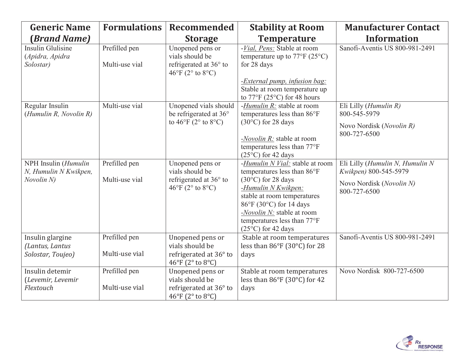| <b>Generic Name</b>                                         | <b>Formulations</b>             | Recommended                                                                                                     | <b>Stability at Room</b>                                                                                                                                                                                                                                                   | <b>Manufacturer Contact</b>                                                                          |
|-------------------------------------------------------------|---------------------------------|-----------------------------------------------------------------------------------------------------------------|----------------------------------------------------------------------------------------------------------------------------------------------------------------------------------------------------------------------------------------------------------------------------|------------------------------------------------------------------------------------------------------|
| (Brand Name)                                                |                                 | <b>Storage</b>                                                                                                  | <b>Temperature</b>                                                                                                                                                                                                                                                         | <b>Information</b>                                                                                   |
| <b>Insulin Glulisine</b><br>(Apidra, Apidra<br>Solostar)    | Prefilled pen<br>Multi-use vial | Unopened pens or<br>vials should be<br>refrigerated at 36° to<br>$46^{\circ}$ F (2 $^{\circ}$ to $8^{\circ}$ C) | -Vial, Pens: Stable at room<br>temperature up to $77^{\circ}$ F (25°C)<br>for 28 days<br>- <i>External pump</i> , <i>infusion bag:</i><br>Stable at room temperature up<br>to $77^{\circ}$ F (25 $^{\circ}$ C) for 48 hours                                                | Sanofi-Aventis US 800-981-2491                                                                       |
| Regular Insulin<br>(Humulin R, Novolin R)                   | Multi-use vial                  | Unopened vials should<br>be refrigerated at 36°<br>to $46^{\circ}$ F ( $2^{\circ}$ to $8^{\circ}$ C)            | -Humulin R: stable at room<br>temperatures less than 86°F<br>$(30^{\circ}C)$ for 28 days<br>-Novolin R: stable at room<br>temperatures less than 77°F<br>$(25^{\circ}C)$ for 42 days                                                                                       | Eli Lilly ( <i>Humulin R</i> )<br>800-545-5979<br>Novo Nordisk (Novolin R)<br>800-727-6500           |
| NPH Insulin (Humulin<br>N, Humulin N Kwikpen,<br>Novolin N) | Prefilled pen<br>Multi-use vial | Unopened pens or<br>vials should be<br>refrigerated at 36° to<br>$46^{\circ}$ F (2° to 8°C)                     | -Humulin N Vial: stable at room<br>temperatures less than 86°F<br>$(30^{\circ}C)$ for 28 days<br>-Humulin N Kwikpen:<br>stable at room temperatures<br>86°F (30°C) for 14 days<br>-Novolin N: stable at room<br>temperatures less than 77°F<br>$(25^{\circ}C)$ for 42 days | Eli Lilly (Humulin N, Humulin N<br>Kwikpen) 800-545-5979<br>Novo Nordisk (Novolin N)<br>800-727-6500 |
| Insulin glargine<br>(Lantus, Lantus<br>Solostar, Toujeo)    | Prefilled pen<br>Multi-use vial | Unopened pens or<br>vials should be<br>refrigerated at 36° to<br>46°F (2° to 8°C)                               | Stable at room temperatures<br>less than 86°F (30°C) for 28<br>days                                                                                                                                                                                                        | Sanofi-Aventis US 800-981-2491                                                                       |
| Insulin detemir<br>(Levemir, Levemir<br>Flextouch           | Prefilled pen<br>Multi-use vial | Unopened pens or<br>vials should be<br>refrigerated at 36° to<br>46°F (2° to 8°C)                               | Stable at room temperatures<br>less than 86°F (30°C) for 42<br>days                                                                                                                                                                                                        | Novo Nordisk 800-727-6500                                                                            |

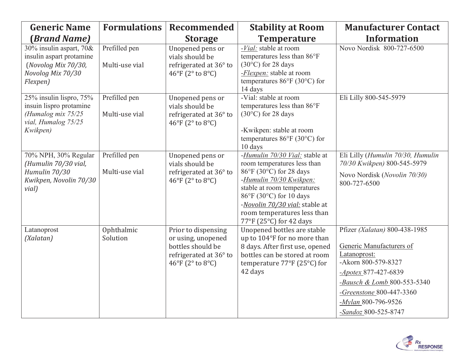| <b>Generic Name</b>                                                                                            | <b>Formulations</b>             | <b>Recommended</b>                                                                                           | <b>Stability at Room</b>                                                                                                                                                                                                                                                  | <b>Manufacturer Contact</b>                                                                                                                                                                                                          |
|----------------------------------------------------------------------------------------------------------------|---------------------------------|--------------------------------------------------------------------------------------------------------------|---------------------------------------------------------------------------------------------------------------------------------------------------------------------------------------------------------------------------------------------------------------------------|--------------------------------------------------------------------------------------------------------------------------------------------------------------------------------------------------------------------------------------|
| (Brand Name)                                                                                                   |                                 | <b>Storage</b>                                                                                               | <b>Temperature</b>                                                                                                                                                                                                                                                        | <b>Information</b>                                                                                                                                                                                                                   |
| 30% insulin aspart, $70\&$<br>insulin aspart protamine<br>(Novolog Mix 70/30,<br>Novolog Mix 70/30<br>Flexpen) | Prefilled pen<br>Multi-use vial | Unopened pens or<br>vials should be<br>refrigerated at 36° to<br>46°F (2° to 8°C)                            | -Vial: stable at room<br>temperatures less than 86°F<br>$(30^{\circ}C)$ for 28 days<br>- <i>Flexpen</i> : stable at room<br>temperatures $86^{\circ}$ F (30°C) for<br>14 days                                                                                             | Novo Nordisk 800-727-6500                                                                                                                                                                                                            |
| 25% insulin lispro, 75%<br>insuin lispro protamine<br>(Humalog mix $75/25$<br>vial, Humalog 75/25<br>Kwikpen)  | Prefilled pen<br>Multi-use vial | Unopened pens or<br>vials should be<br>refrigerated at 36° to<br>46°F (2° to 8°C)                            | -Vial: stable at room<br>temperatures less than 86°F<br>$(30^{\circ}C)$ for 28 days<br>-Kwikpen: stable at room<br>temperatures $86^{\circ}$ F (30°C) for<br>10 days                                                                                                      | Eli Lilly 800-545-5979                                                                                                                                                                                                               |
| 70% NPH, 30% Regular<br>(Humulin 70/30 vial,<br>Humulin 70/30<br>Kwikpen, Novolin 70/30<br>vial)               | Prefilled pen<br>Multi-use vial | Unopened pens or<br>vials should be<br>refrigerated at 36° to<br>46°F (2° to 8°C)                            | -Humulin 70/30 Vial: stable at<br>room temperatures less than<br>86°F (30°C) for 28 days<br>-Humulin 70/30 Kwikpen:<br>stable at room temperatures<br>86°F (30°C) for 10 days<br>-Novolin 70/30 vial: stable at<br>room temperatures less than<br>77°F (25°C) for 42 days | Eli Lilly (Humulin 70/30, Humulin<br>70/30 Kwikpen) 800-545-5979<br>Novo Nordisk (Novolin 70/30)<br>800-727-6500                                                                                                                     |
| Latanoprost<br>(Xalatan)                                                                                       | Ophthalmic<br>Solution          | Prior to dispensing<br>or using, unopened<br>bottles should be<br>refrigerated at 36° to<br>46°F (2° to 8°C) | Unopened bottles are stable<br>up to 104°F for no more than<br>8 days. After first use, opened<br>bottles can be stored at room<br>temperature 77°F (25°C) for<br>42 days                                                                                                 | Pfizer (Xalatan) 800-438-1985<br>Generic Manufacturers of<br>Latanoprost:<br>-Akorn 800-579-8327<br>-Apotex 877-427-6839<br>-Bausch & Lomb 800-553-5340<br>-Greenstone 800-447-3360<br>$-Mylan$ 800-796-9526<br>-Sandoz 800-525-8747 |

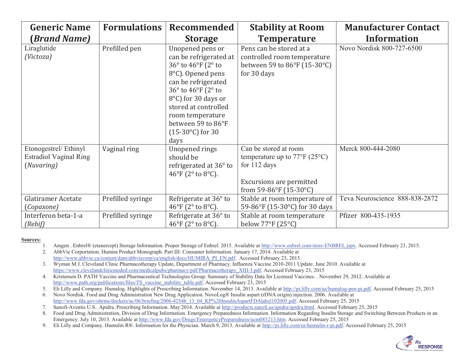| <b>Generic Name</b>                                          | <b>Formulations</b> | <b>Recommended</b>                                                                                                                                                                                                                                               | <b>Stability at Room</b>                                                                                                                               | <b>Manufacturer Contact</b>    |
|--------------------------------------------------------------|---------------------|------------------------------------------------------------------------------------------------------------------------------------------------------------------------------------------------------------------------------------------------------------------|--------------------------------------------------------------------------------------------------------------------------------------------------------|--------------------------------|
| (Brand Name)                                                 |                     | <b>Storage</b>                                                                                                                                                                                                                                                   | <b>Temperature</b>                                                                                                                                     | <b>Information</b>             |
| Liraglutide<br>(Victoza)                                     | Prefilled pen       | Unopened pens or<br>can be refrigerated at<br>36° to 46°F (2° to<br>8°C). Opened pens<br>can be refrigerated<br>36° to 46°F (2° to<br>8°C) for 30 days or<br>stored at controlled<br>room temperature<br>between 59 to 86°F<br>$(15-30^{\circ}C)$ for 30<br>days | Pens can be stored at a<br>controlled room temperature<br>between 59 to 86°F (15-30°C)<br>for 30 days                                                  | Novo Nordisk 800-727-6500      |
| Etonogestrel/Ethinyl<br>Estradiol Vaginal Ring<br>(Nuvaring) | Vaginal ring        | Unopened rings<br>should be<br>refrigerated at 36° to<br>46°F (2° to 8°C).                                                                                                                                                                                       | Can be stored at room<br>temperature up to $77^{\circ}$ F (25 <sup>o</sup> C)<br>for 112 days<br>Excursions are permitted<br>from 59-86°F $(15-30$ °C) | Merck 800-444-2080             |
| Glatiramer Acetate<br>(Copaxone)                             | Prefilled syringe   | Refrigerate at 36° to<br>46°F (2° to 8°C).                                                                                                                                                                                                                       | Stable at room temperature of<br>59-86°F (15-30°C) for 30 days                                                                                         | Teva Neuroscience 888-838-2872 |
| Interferon beta-1-a<br>(Rebi f)                              | Prefilled syringe   | Refrigerate at 36° to<br>46°F (2° to 8°C).                                                                                                                                                                                                                       | Stable at room temperature<br>below $77^{\circ}$ F (25°C)                                                                                              | Pfizer 800-435-1935            |

## **Sources:**

1. Amgen . Enbrel® (etanercept) Storage Information. Proper Storage of Enbrel. 2015. Available at http://www.enbrel.com/store-ENBREL.jspx. Accessed February 23, 2015.

2. AbbVie Corportation. Humira Product Monograph. Part III: Consumer Information. January 17, 2014. Available at http://www.abbvie.ca/content/dam/abbviecorp/ca/english/docs/HUMIRA\_PI\_EN.pdf. Accessed February 23, 2015.

3. Wyman M J. Cleveland Clinic Pharmacotherapy Update, Department of Pharmacy. Influenza Vaccine 2010-2011 Update. June 2010. Available at https://www.clevelandclinicmeded.com/medicalpubs/pharmacy/pdf/Pharmacotherapy\_XIII-3.pdf. Accessed February 23, 2015

4. Kristensen D. PATH Vaccine and Pharmaceutical Technologies Group. Summary of Stability Data for Licensed Vaccines. . November 29, 2012. Available at http://www.path.org/publications/files/TS\_vaccine\_stability\_table.pdf. Accessed February 23, 2015

5. Eli Lilly and Company. Humalog. Highlights of Prescribing Information. November 14, 2013. Available at http://pi.lilly.com/us/humalog-pen-pi.pdf. Accessed February 25, 2015

6. Novo Nordisk. Food and Drug Administration New Drug Application. NovoLog® Insulin aspart (rDNA origin) injection. 2006. Available at http://www.fda.gov/ohrms/dockets/ac/06/briefing/2006-4254b\_13\_04\_KP%20InsulinAspartFDAlabel102005.pdf. Accessed February 25, 2015

7. Sanofi-Aventis U.S.. Apidra. Prescribing Information. May 2014. Available at http://products.sanofi.us/apidra/apidra.html. Accessed February 25, 2015

8. Food and Drug Administration, Division of Drug Information. Emergency Preparedness Information. Information Regarding Insulin Storage and Switching Between Products in an Emergency. July 10, 2013. Available at http://www.fda.gov/Drugs/EmergencyPreparedness/ucm085213.htm. Accessed February 25, 2015

9. Eli Lilly and Company. Humulin R®. Information for the Physician. March 9, 2013. Available at http://pi.lilly.com/us/humulin-r-pi.pdf. Accessed February 25, 2015